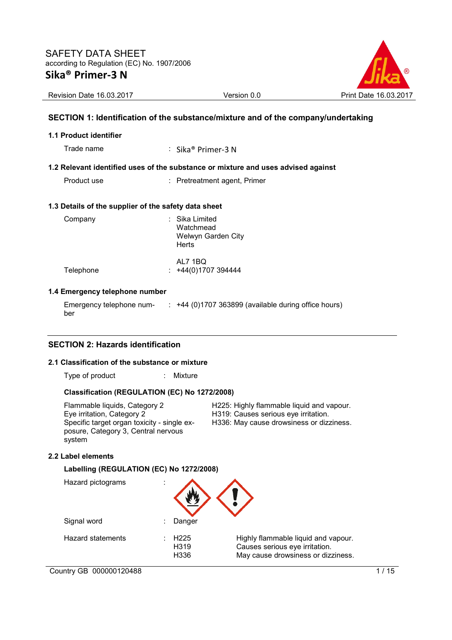

Revision Date 16.03.2017 Version 0.0 Print Date 16.03.2017

## **SECTION 1: Identification of the substance/mixture and of the company/undertaking**

#### **1.1 Product identifier**

Trade name : Sika® Primer-3 N

## **1.2 Relevant identified uses of the substance or mixture and uses advised against**

Product use : Pretreatment agent, Primer

## **1.3 Details of the supplier of the safety data sheet**

| Company   | : Sika Limited<br>Watchmead<br>Welwyn Garden City<br><b>Herts</b> |
|-----------|-------------------------------------------------------------------|
| Telephone | AL7 1BQ<br>$\div$ +44(0)1707 394444                               |

## **1.4 Emergency telephone number**

Emergency telephone number :  $+44$  (0)1707 363899 (available during office hours)

## **SECTION 2: Hazards identification**

### **2.1 Classification of the substance or mixture**

Type of product : Mixture

#### **Classification (REGULATION (EC) No 1272/2008)**

Flammable liquids, Category 2 **H225: Highly flammable liquid and vapour.**<br>Eye irritation. Category 2 **H319:** Causes serious eye irritation. Specific target organ toxicity - single exposure, Category 3, Central nervous system

H319: Causes serious eye irritation.

H336: May cause drowsiness or dizziness.

## **2.2 Label elements**

**Labelling (REGULATION (EC) No 1272/2008)** 

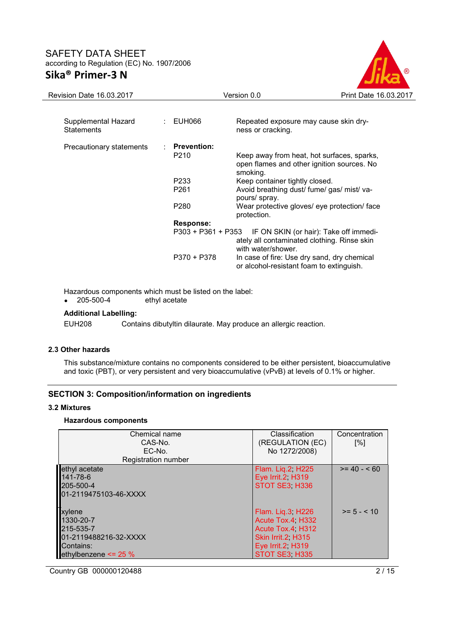

| Revision Date 16.03.2017                 |                      | Version 0.0                                                                                          | Print Date 16.03.2017                  |
|------------------------------------------|----------------------|------------------------------------------------------------------------------------------------------|----------------------------------------|
|                                          |                      |                                                                                                      |                                        |
| Supplemental Hazard<br><b>Statements</b> | EUH066               | Repeated exposure may cause skin dry-<br>ness or cracking.                                           |                                        |
| Precautionary statements                 | <b>Prevention:</b>   |                                                                                                      |                                        |
|                                          | P210                 | Keep away from heat, hot surfaces, sparks,<br>open flames and other ignition sources. No<br>smoking. |                                        |
|                                          | P233                 | Keep container tightly closed.                                                                       |                                        |
|                                          | P <sub>261</sub>     | Avoid breathing dust/ fume/ gas/ mist/ va-<br>pours/ spray.                                          |                                        |
|                                          | P280                 | Wear protective gloves/ eye protection/ face<br>protection.                                          |                                        |
|                                          | <b>Response:</b>     |                                                                                                      |                                        |
|                                          | $P303 + P361 + P353$ | ately all contaminated clothing. Rinse skin<br>with water/shower.                                    | IF ON SKIN (or hair): Take off immedi- |
|                                          | $P370 + P378$        | In case of fire: Use dry sand, dry chemical<br>or alcohol-resistant foam to extinguish.              |                                        |

Hazardous components which must be listed on the label:<br>
• 205-500-4 ethyl acetate

ethyl acetate

## **Additional Labelling:**

EUH208 Contains dibutyltin dilaurate. May produce an allergic reaction.

## **2.3 Other hazards**

This substance/mixture contains no components considered to be either persistent, bioaccumulative and toxic (PBT), or very persistent and very bioaccumulative (vPvB) at levels of 0.1% or higher.

## **SECTION 3: Composition/information on ingredients**

#### **3.2 Mixtures**

## **Hazardous components**

| Chemical name<br>CAS-No.<br>EC-No.<br><b>Registration number</b>                                   | Classification<br>(REGULATION (EC)<br>No 1272/2008)                                                                    | Concentration<br>[%] |
|----------------------------------------------------------------------------------------------------|------------------------------------------------------------------------------------------------------------------------|----------------------|
| ethyl acetate<br>141-78-6<br>205-500-4<br>01-2119475103-46-XXXX                                    | Flam. Liq.2, H225<br>Eye Irrit.2, H319<br>STOT SE3 H336                                                                | $>= 40 - 60$         |
| xylene<br>1330-20-7<br>215-535-7<br>01-2119488216-32-XXXX<br>Contains:<br>ethylbenzene $\leq$ 25 % | Flam. Lig.3, H226<br>Acute Tox.4 H332<br>Acute Tox.4 H312<br>Skin Irrit.2, H315<br>Eye Irrit.2, H319<br>STOT SE3. H335 | $>= 5 - < 10$        |

Country GB 000000120488 2/15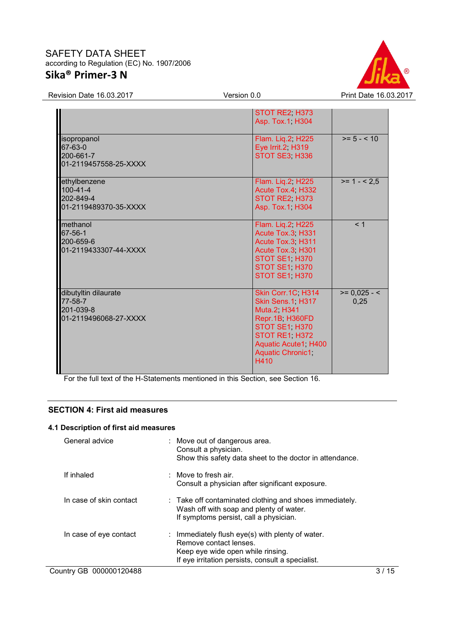

Revision Date 16.03.2017 Version 0.0 Print Date 16.03.2017

|                                                                       | STOT RE2, H373<br>Asp. Tox.1 H304                                                                                                                                      |                        |
|-----------------------------------------------------------------------|------------------------------------------------------------------------------------------------------------------------------------------------------------------------|------------------------|
| isopropanol<br>67-63-0<br>200-661-7<br>01-2119457558-25-XXXX          | Flam. Lig.2, H225<br>Eye Irrit.2, H319<br>STOT SE3 H336                                                                                                                | $>= 5 - < 10$          |
| ethylbenzene<br>$100 - 41 - 4$<br>202-849-4<br>01-2119489370-35-XXXX  | Flam. Liq.2, H225<br>Acute Tox.4, H332<br>STOT RE2, H373<br>Asp. Tox.1, H304                                                                                           | $>= 1 - 2.5$           |
| methanol<br>67-56-1<br>200-659-6<br>01-2119433307-44-XXXX             | Flam. Lig.2, H225<br>Acute Tox.3, H331<br>Acute Tox.3 H311<br>Acute Tox.3, H301<br>STOT SE1 H370<br>STOT SE1, H370<br>STOT SE1. H370                                   | < 1                    |
| dibutyltin dilaurate<br>77-58-7<br>201-039-8<br>01-2119496068-27-XXXX | Skin Corr.1C, H314<br>Skin Sens.1, H317<br>Muta.2 H341<br>Repr.1B H360FD<br>STOT SE1 H370<br>STOT RE1, H372<br>Aquatic Acute1, H400<br><b>Aquatic Chronic1</b><br>H410 | $>= 0,025 - 5$<br>0.25 |

For the full text of the H-Statements mentioned in this Section, see Section 16.

## **SECTION 4: First aid measures**

## **4.1 Description of first aid measures**

| General advice          | : Move out of dangerous area.<br>Consult a physician.<br>Show this safety data sheet to the doctor in attendance.                                                    |
|-------------------------|----------------------------------------------------------------------------------------------------------------------------------------------------------------------|
| If inhaled              | $\therefore$ Move to fresh air.<br>Consult a physician after significant exposure.                                                                                   |
| In case of skin contact | $\therefore$ Take off contaminated clothing and shoes immediately.<br>Wash off with soap and plenty of water.<br>If symptoms persist, call a physician.              |
| In case of eye contact  | : Immediately flush eye(s) with plenty of water.<br>Remove contact lenses.<br>Keep eye wide open while rinsing.<br>If eye irritation persists, consult a specialist. |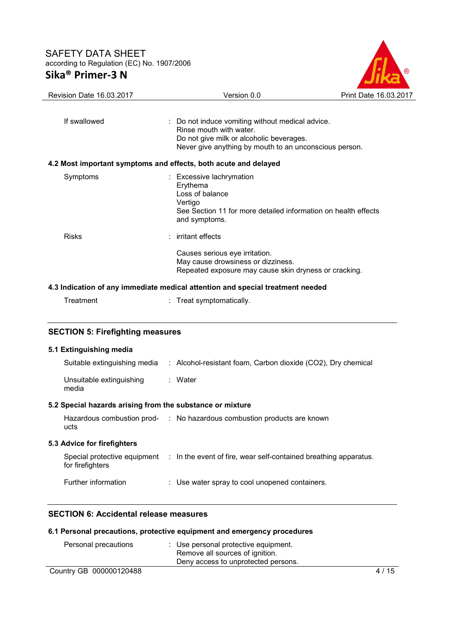

| <b>Revision Date 16.03.2017</b>         | Version 0.0                                                                                                                                                                       | Print Date 16.03.2017 |  |
|-----------------------------------------|-----------------------------------------------------------------------------------------------------------------------------------------------------------------------------------|-----------------------|--|
|                                         |                                                                                                                                                                                   |                       |  |
| If swallowed                            | : Do not induce vomiting without medical advice.<br>Rinse mouth with water.<br>Do not give milk or alcoholic beverages.<br>Never give anything by mouth to an unconscious person. |                       |  |
|                                         | 4.2 Most important symptoms and effects, both acute and delayed                                                                                                                   |                       |  |
| Symptoms                                | : Excessive lachrymation<br>Erythema<br>Loss of balance<br>Vertigo<br>See Section 11 for more detailed information on health effects<br>and symptoms.                             |                       |  |
| <b>Risks</b>                            | : irritant effects                                                                                                                                                                |                       |  |
|                                         | Causes serious eye irritation.<br>May cause drowsiness or dizziness.<br>Repeated exposure may cause skin dryness or cracking.                                                     |                       |  |
|                                         | 4.3 Indication of any immediate medical attention and special treatment needed                                                                                                    |                       |  |
| Treatment                               | Treat symptomatically.                                                                                                                                                            |                       |  |
| <b>SECTION 5: Firefighting measures</b> |                                                                                                                                                                                   |                       |  |
| 5.1 Extinguishing media                 |                                                                                                                                                                                   |                       |  |
| Suitable extinguishing media            | : Alcohol-resistant foam, Carbon dioxide (CO2), Dry chemical                                                                                                                      |                       |  |
| Unsuitable extinguishing<br>media       | : Water                                                                                                                                                                           |                       |  |

# **5.2 Special hazards arising from the substance or mixture**

| Hazardous combustion prod-<br>ucts               | : No hazardous combustion products are known                     |
|--------------------------------------------------|------------------------------------------------------------------|
| 5.3 Advice for firefighters                      |                                                                  |
| Special protective equipment<br>for firefighters | : In the event of fire, wear self-contained breathing apparatus. |
| Further information                              | : Use water spray to cool unopened containers.                   |

## **SECTION 6: Accidental release measures**

## **6.1 Personal precautions, protective equipment and emergency procedures**

| Personal precautions    | : Use personal protective equipment.<br>Remove all sources of ignition.<br>Deny access to unprotected persons. |        |
|-------------------------|----------------------------------------------------------------------------------------------------------------|--------|
| Country GB 000000120488 |                                                                                                                | 4 / 15 |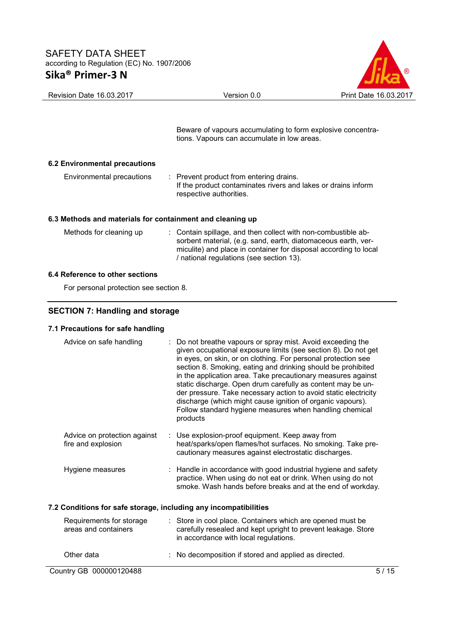

|                                                           | Beware of vapours accumulating to form explosive concentra-<br>tions. Vapours can accumulate in low areas.                                                                                                                                     |
|-----------------------------------------------------------|------------------------------------------------------------------------------------------------------------------------------------------------------------------------------------------------------------------------------------------------|
| 6.2 Environmental precautions                             |                                                                                                                                                                                                                                                |
| Environmental precautions                                 | : Prevent product from entering drains.<br>If the product contaminates rivers and lakes or drains inform<br>respective authorities.                                                                                                            |
| 6.3 Methods and materials for containment and cleaning up |                                                                                                                                                                                                                                                |
| Methods for cleaning up                                   | : Contain spillage, and then collect with non-combustible ab-<br>sorbent material, (e.g. sand, earth, diatomaceous earth, ver-<br>miculite) and place in container for disposal according to local<br>/ national regulations (see section 13). |
| 6.4 Reference to other sections                           |                                                                                                                                                                                                                                                |
| For personal protection see section 8.                    |                                                                                                                                                                                                                                                |

# **SECTION 7: Handling and storage**

## **7.1 Precautions for safe handling**

| Advice on safe handling                                          | : Do not breathe vapours or spray mist. Avoid exceeding the<br>given occupational exposure limits (see section 8). Do not get<br>in eyes, on skin, or on clothing. For personal protection see<br>section 8. Smoking, eating and drinking should be prohibited<br>in the application area. Take precautionary measures against<br>static discharge. Open drum carefully as content may be un-<br>der pressure. Take necessary action to avoid static electricity<br>discharge (which might cause ignition of organic vapours).<br>Follow standard hygiene measures when handling chemical<br>products |  |  |  |
|------------------------------------------------------------------|-------------------------------------------------------------------------------------------------------------------------------------------------------------------------------------------------------------------------------------------------------------------------------------------------------------------------------------------------------------------------------------------------------------------------------------------------------------------------------------------------------------------------------------------------------------------------------------------------------|--|--|--|
| Advice on protection against<br>fire and explosion               | Use explosion-proof equipment. Keep away from<br>heat/sparks/open flames/hot surfaces. No smoking. Take pre-<br>cautionary measures against electrostatic discharges.                                                                                                                                                                                                                                                                                                                                                                                                                                 |  |  |  |
| Hygiene measures                                                 | : Handle in accordance with good industrial hygiene and safety<br>practice. When using do not eat or drink. When using do not<br>smoke. Wash hands before breaks and at the end of workday.                                                                                                                                                                                                                                                                                                                                                                                                           |  |  |  |
| 7.2 Conditions for safe storage, including any incompatibilities |                                                                                                                                                                                                                                                                                                                                                                                                                                                                                                                                                                                                       |  |  |  |
| Requirements for storage<br>areas and containers                 | : Store in cool place. Containers which are opened must be<br>carefully resealed and kept upright to prevent leakage. Store<br>in accordance with local regulations.                                                                                                                                                                                                                                                                                                                                                                                                                                  |  |  |  |
| Other data                                                       | No decomposition if stored and applied as directed.                                                                                                                                                                                                                                                                                                                                                                                                                                                                                                                                                   |  |  |  |
| Country GB 000000120488                                          | 5/15                                                                                                                                                                                                                                                                                                                                                                                                                                                                                                                                                                                                  |  |  |  |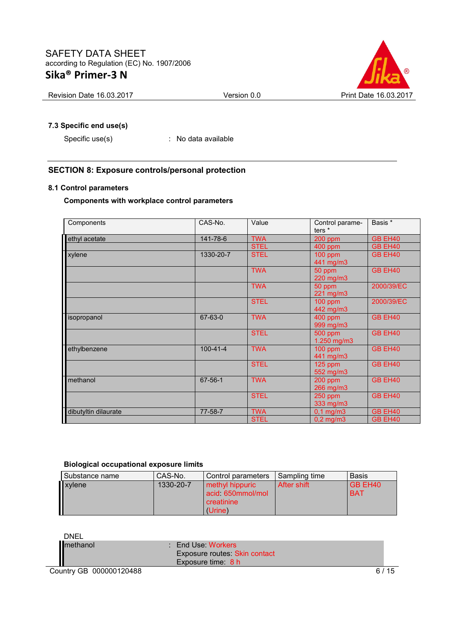

Revision Date 16.03.2017 Version 0.0 Print Date 16.03.2017

## **7.3 Specific end use(s)**

Specific use(s) : No data available

## **SECTION 8: Exposure controls/personal protection**

## **8.1 Control parameters**

## **Components with workplace control parameters**

| Components           | CAS-No.        | Value       | Control parame-<br>ters <sup>*</sup> | Basis *        |
|----------------------|----------------|-------------|--------------------------------------|----------------|
| ethyl acetate        | 141-78-6       | <b>TWA</b>  | 200 ppm                              | <b>GB EH40</b> |
|                      |                | <b>STEL</b> | 400 ppm                              | GB EH40        |
| xylene               | 1330-20-7      | <b>STEL</b> | $100$ ppm<br>441 mg/m3               | GB EH40        |
|                      |                | <b>TWA</b>  | 50 ppm<br>220 mg/m3                  | GB EH40        |
|                      |                | <b>TWA</b>  | 50 ppm<br>221 mg/m3                  | 2000/39/EC     |
|                      |                | <b>STEL</b> | $100$ ppm<br>442 mg/m3               | 2000/39/EC     |
| isopropanol          | $67 - 63 - 0$  | <b>TWA</b>  | 400 ppm<br>999 mg/m3                 | GB EH40        |
|                      |                | <b>STEL</b> | <b>500 ppm</b><br>1.250 mg/m3        | GB EH40        |
| ethylbenzene         | $100 - 41 - 4$ | <b>TWA</b>  | $100$ ppm<br>441 mg/m3               | GB EH40        |
|                      |                | <b>STEL</b> | $125$ ppm<br>552 mg/m3               | GB EH40        |
| methanol             | $67 - 56 - 1$  | <b>TWA</b>  | 200 ppm<br>266 mg/m3                 | GB EH40        |
|                      |                | <b>STEL</b> | <b>250 ppm</b><br>333 mg/m3          | GB EH40        |
| dibutyltin dilaurate | $77 - 58 - 7$  | <b>TWA</b>  | $0,1$ mg/m $3$                       | GB EH40        |
|                      |                | <b>STEL</b> | $0,2$ mg/m $3$                       | GB EH40        |

# **Biological occupational exposure limits**

| Substance name | CAS-No.   | Control parameters                                                  | Sampling time | Basis                 |
|----------------|-----------|---------------------------------------------------------------------|---------------|-----------------------|
| xylene         | 1330-20-7 | methyl hippuric<br>acid 650mmol/mol<br><b>Creatinine</b><br>(Urine) | ∣ After shift | GB EH40<br><b>BAT</b> |

| DNEL                    |                                                               |    |
|-------------------------|---------------------------------------------------------------|----|
| Imethanol               | $\therefore$ End Use Workers<br>Exposure routes: Skin contact |    |
|                         |                                                               |    |
|                         | Exposure time 8 h                                             |    |
| Country GB 000000120488 |                                                               | 15 |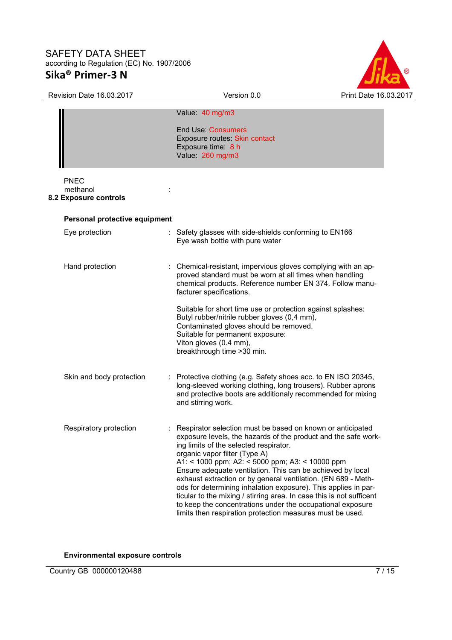

| <b>SAFETY DATA SHEET</b><br>according to Regulation (EC) No. 1907/2006 |                                                                                                                                                                                                                                                                                                                                                                                                                                                                                                                                                                                                                                                                |                       |
|------------------------------------------------------------------------|----------------------------------------------------------------------------------------------------------------------------------------------------------------------------------------------------------------------------------------------------------------------------------------------------------------------------------------------------------------------------------------------------------------------------------------------------------------------------------------------------------------------------------------------------------------------------------------------------------------------------------------------------------------|-----------------------|
| Sika <sup>®</sup> Primer-3 N                                           |                                                                                                                                                                                                                                                                                                                                                                                                                                                                                                                                                                                                                                                                |                       |
| <b>Revision Date 16.03.2017</b>                                        | Version 0.0                                                                                                                                                                                                                                                                                                                                                                                                                                                                                                                                                                                                                                                    | Print Date 16.03.2017 |
|                                                                        | Value: 40 mg/m3<br><b>End Use: Consumers</b><br>Exposure routes Skin contact<br>Exposure time: 8 h<br>Value: 260 mg/m3                                                                                                                                                                                                                                                                                                                                                                                                                                                                                                                                         |                       |
| <b>PNEC</b><br>methanol<br>8.2 Exposure controls                       |                                                                                                                                                                                                                                                                                                                                                                                                                                                                                                                                                                                                                                                                |                       |
| Personal protective equipment                                          |                                                                                                                                                                                                                                                                                                                                                                                                                                                                                                                                                                                                                                                                |                       |
| Eye protection<br>t.                                                   | Safety glasses with side-shields conforming to EN166<br>Eye wash bottle with pure water                                                                                                                                                                                                                                                                                                                                                                                                                                                                                                                                                                        |                       |
| Hand protection                                                        | Chemical-resistant, impervious gloves complying with an ap-<br>proved standard must be worn at all times when handling<br>chemical products. Reference number EN 374. Follow manu-<br>facturer specifications.                                                                                                                                                                                                                                                                                                                                                                                                                                                 |                       |
|                                                                        | Suitable for short time use or protection against splashes:<br>Butyl rubber/nitrile rubber gloves (0,4 mm),<br>Contaminated gloves should be removed.<br>Suitable for permanent exposure:<br>Viton gloves (0.4 mm),<br>breakthrough time > 30 min.                                                                                                                                                                                                                                                                                                                                                                                                             |                       |
| Skin and body protection                                               | : Protective clothing (e.g. Safety shoes acc. to EN ISO 20345,<br>long-sleeved working clothing, long trousers). Rubber aprons<br>and protective boots are additionaly recommended for mixing<br>and stirring work.                                                                                                                                                                                                                                                                                                                                                                                                                                            |                       |
| Respiratory protection                                                 | Respirator selection must be based on known or anticipated<br>exposure levels, the hazards of the product and the safe work-<br>ing limits of the selected respirator.<br>organic vapor filter (Type A)<br>A1: < 1000 ppm; A2: < 5000 ppm; A3: < 10000 ppm<br>Ensure adequate ventilation. This can be achieved by local<br>exhaust extraction or by general ventilation. (EN 689 - Meth-<br>ods for determining inhalation exposure). This applies in par-<br>ticular to the mixing / stirring area. In case this is not sufficent<br>to keep the concentrations under the occupational exposure<br>limits then respiration protection measures must be used. |                       |

**Environmental exposure controls**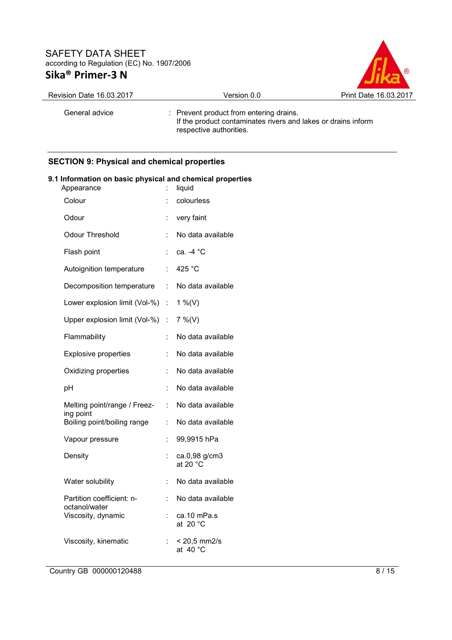

| Revision Date 16.03.2017 | Version 0.0                                                                                                                         | Print Date 16.03.2017 |
|--------------------------|-------------------------------------------------------------------------------------------------------------------------------------|-----------------------|
| General advice           | : Prevent product from entering drains.<br>If the product contaminates rivers and lakes or drains inform<br>respective authorities. |                       |

# **SECTION 9: Physical and chemical properties**

| Information on basic physical and chemical proper<br>Appearance |    | liquid                                      |
|-----------------------------------------------------------------|----|---------------------------------------------|
| Colour                                                          |    | colourless                                  |
| Odour                                                           | t  | very faint                                  |
| <b>Odour Threshold</b>                                          | t  | No data available                           |
| Flash point                                                     | t  | ca. -4 °C                                   |
| Autoignition temperature                                        | ÷  | 425 °C                                      |
| Decomposition temperature                                       | ÷. | No data available                           |
| Lower explosion limit (Vol-%)                                   | t. | 1 %(V)                                      |
| Upper explosion limit (Vol-%) :                                 |    | $7\%$ (V)                                   |
| Flammability                                                    | t  | No data available                           |
| <b>Explosive properties</b>                                     | t  | No data available                           |
| Oxidizing properties                                            | t. | No data available                           |
| pH                                                              | t  | No data available                           |
| Melting point/range / Freez-                                    | t. | No data available                           |
| ing point<br>Boiling point/boiling range                        | t. | No data available                           |
| Vapour pressure                                                 | t  | 99,9915 hPa                                 |
| Density                                                         | t  | ca.0,98 g/cm3<br>at 20 $^{\circ}$ C         |
| Water solubility                                                | t  | No data available                           |
| Partition coefficient: n-<br>octanol/water                      | ÷  | No data available                           |
| Viscosity, dynamic                                              |    | ca.10 mPa.s<br>at 20 $^{\circ}$ C           |
| Viscosity, kinematic                                            |    | $< 20,5 \text{ mm2/s}$<br>at $40^{\circ}$ C |
|                                                                 |    |                                             |

# **9.1 Information on basic physical and chemical properties**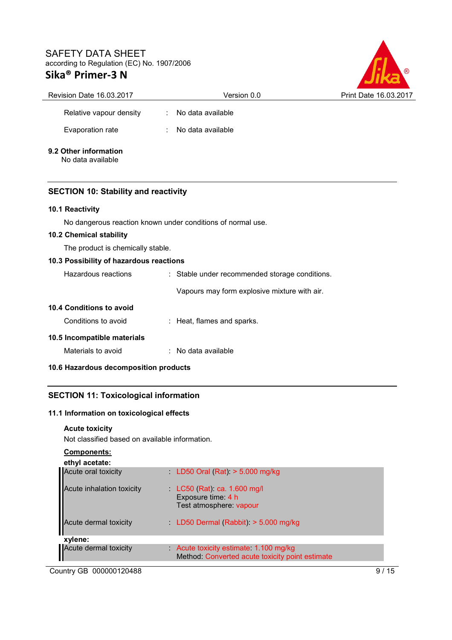

| Revision Date 16.03.2017                    | Version 0.0                                                 | Print Date 16.03.201 |
|---------------------------------------------|-------------------------------------------------------------|----------------------|
| Relative vapour density                     | No data available                                           |                      |
| Evaporation rate                            | No data available                                           |                      |
| 9.2 Other information<br>No data available  |                                                             |                      |
| <b>SECTION 10: Stability and reactivity</b> |                                                             |                      |
| 10.1 Reactivity                             |                                                             |                      |
|                                             | No dangerous reaction known under conditions of normal use. |                      |
| 10.2 Chemical stability                     |                                                             |                      |
| The product is chemically stable.           |                                                             |                      |
| 10.3 Possibility of hazardous reactions     |                                                             |                      |
| Hazardous reactions                         | : Stable under recommended storage conditions.              |                      |
|                                             | Vapours may form explosive mixture with air.                |                      |
| 10.4 Conditions to avoid                    |                                                             |                      |
| Conditions to avoid                         | : Heat, flames and sparks.                                  |                      |
| 10.5 Incompatible materials                 |                                                             |                      |
| Materials to avoid                          | : No data available                                         |                      |
| 10.6 Hazardous decomposition products       |                                                             |                      |

# **SECTION 11: Toxicological information**

# **11.1 Information on toxicological effects**

# **Acute toxicity**

Not classified based on available information.

**Components:** 

| ethyl acetate:            |                                                                                        |
|---------------------------|----------------------------------------------------------------------------------------|
| Acute oral toxicity       | $LD50$ Oral (Rat) $> 5.000$ mg/kg                                                      |
| Acute inhalation toxicity | $LC50$ (Rat) ca. 1.600 mg/l<br>Exposure time: 4 h<br>Test atmosphere: vapour           |
| Acute dermal toxicity     | LD50 Dermal (Rabbit) $>$ 5.000 mg/kg                                                   |
| xylene:                   |                                                                                        |
| Acute dermal toxicity     | Acute toxicity estimate 1.100 mg/kg<br>Method: Converted acute toxicity point estimate |
|                           |                                                                                        |

Country GB 000000120488 9/15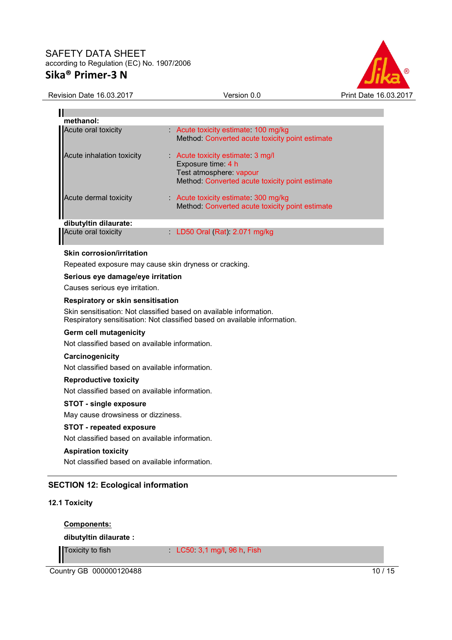

## Revision Date 16.03.2017 Version 0.0 Print Date 16.03.2017

| methanol:<br>Acute oral toxicity<br>Acute toxicity estimate 100 mg/kg<br>Method: Converted acute toxicity point estimate<br>Acute inhalation toxicity<br>Acute toxicity estimate 3 mg/l<br>Exposure time: 4 h<br>Test atmosphere: vapour<br>Method: Converted acute toxicity point estimate<br>Acute dermal toxicity<br>Acute toxicity estimate 300 mg/kg<br>Method: Converted acute toxicity point estimate<br>dibutyltin dilaurate:<br>Acute oral toxicity<br>LD50 Oral (Rat): 2.071 mg/kg<br><b>Skin corrosion/irritation</b><br>Repeated exposure may cause skin dryness or cracking.<br>Serious eye damage/eye irritation<br>Causes serious eye irritation.<br><b>Respiratory or skin sensitisation</b><br>Skin sensitisation: Not classified based on available information.<br>Respiratory sensitisation: Not classified based on available information.<br>Germ cell mutagenicity<br>Not classified based on available information.<br>Carcinogenicity<br>Not classified based on available information. |
|------------------------------------------------------------------------------------------------------------------------------------------------------------------------------------------------------------------------------------------------------------------------------------------------------------------------------------------------------------------------------------------------------------------------------------------------------------------------------------------------------------------------------------------------------------------------------------------------------------------------------------------------------------------------------------------------------------------------------------------------------------------------------------------------------------------------------------------------------------------------------------------------------------------------------------------------------------------------------------------------------------------|
|                                                                                                                                                                                                                                                                                                                                                                                                                                                                                                                                                                                                                                                                                                                                                                                                                                                                                                                                                                                                                  |
|                                                                                                                                                                                                                                                                                                                                                                                                                                                                                                                                                                                                                                                                                                                                                                                                                                                                                                                                                                                                                  |
|                                                                                                                                                                                                                                                                                                                                                                                                                                                                                                                                                                                                                                                                                                                                                                                                                                                                                                                                                                                                                  |
|                                                                                                                                                                                                                                                                                                                                                                                                                                                                                                                                                                                                                                                                                                                                                                                                                                                                                                                                                                                                                  |
|                                                                                                                                                                                                                                                                                                                                                                                                                                                                                                                                                                                                                                                                                                                                                                                                                                                                                                                                                                                                                  |
|                                                                                                                                                                                                                                                                                                                                                                                                                                                                                                                                                                                                                                                                                                                                                                                                                                                                                                                                                                                                                  |
|                                                                                                                                                                                                                                                                                                                                                                                                                                                                                                                                                                                                                                                                                                                                                                                                                                                                                                                                                                                                                  |
|                                                                                                                                                                                                                                                                                                                                                                                                                                                                                                                                                                                                                                                                                                                                                                                                                                                                                                                                                                                                                  |
|                                                                                                                                                                                                                                                                                                                                                                                                                                                                                                                                                                                                                                                                                                                                                                                                                                                                                                                                                                                                                  |
|                                                                                                                                                                                                                                                                                                                                                                                                                                                                                                                                                                                                                                                                                                                                                                                                                                                                                                                                                                                                                  |
|                                                                                                                                                                                                                                                                                                                                                                                                                                                                                                                                                                                                                                                                                                                                                                                                                                                                                                                                                                                                                  |
|                                                                                                                                                                                                                                                                                                                                                                                                                                                                                                                                                                                                                                                                                                                                                                                                                                                                                                                                                                                                                  |
|                                                                                                                                                                                                                                                                                                                                                                                                                                                                                                                                                                                                                                                                                                                                                                                                                                                                                                                                                                                                                  |
|                                                                                                                                                                                                                                                                                                                                                                                                                                                                                                                                                                                                                                                                                                                                                                                                                                                                                                                                                                                                                  |
|                                                                                                                                                                                                                                                                                                                                                                                                                                                                                                                                                                                                                                                                                                                                                                                                                                                                                                                                                                                                                  |
|                                                                                                                                                                                                                                                                                                                                                                                                                                                                                                                                                                                                                                                                                                                                                                                                                                                                                                                                                                                                                  |
| <b>Reproductive toxicity</b>                                                                                                                                                                                                                                                                                                                                                                                                                                                                                                                                                                                                                                                                                                                                                                                                                                                                                                                                                                                     |
| Not classified based on available information.                                                                                                                                                                                                                                                                                                                                                                                                                                                                                                                                                                                                                                                                                                                                                                                                                                                                                                                                                                   |
| <b>STOT - single exposure</b>                                                                                                                                                                                                                                                                                                                                                                                                                                                                                                                                                                                                                                                                                                                                                                                                                                                                                                                                                                                    |
| May cause drowsiness or dizziness.                                                                                                                                                                                                                                                                                                                                                                                                                                                                                                                                                                                                                                                                                                                                                                                                                                                                                                                                                                               |
| <b>STOT - repeated exposure</b>                                                                                                                                                                                                                                                                                                                                                                                                                                                                                                                                                                                                                                                                                                                                                                                                                                                                                                                                                                                  |
| Not classified based on available information.                                                                                                                                                                                                                                                                                                                                                                                                                                                                                                                                                                                                                                                                                                                                                                                                                                                                                                                                                                   |
| <b>Aspiration toxicity</b>                                                                                                                                                                                                                                                                                                                                                                                                                                                                                                                                                                                                                                                                                                                                                                                                                                                                                                                                                                                       |
| Not classified based on available information.                                                                                                                                                                                                                                                                                                                                                                                                                                                                                                                                                                                                                                                                                                                                                                                                                                                                                                                                                                   |
|                                                                                                                                                                                                                                                                                                                                                                                                                                                                                                                                                                                                                                                                                                                                                                                                                                                                                                                                                                                                                  |
| <b>SECTION 12: Ecological information</b>                                                                                                                                                                                                                                                                                                                                                                                                                                                                                                                                                                                                                                                                                                                                                                                                                                                                                                                                                                        |
| 12.1 Toxicity                                                                                                                                                                                                                                                                                                                                                                                                                                                                                                                                                                                                                                                                                                                                                                                                                                                                                                                                                                                                    |
| <b>Components:</b>                                                                                                                                                                                                                                                                                                                                                                                                                                                                                                                                                                                                                                                                                                                                                                                                                                                                                                                                                                                               |

**dibutyltin dilaurate :** 

Toxicity to fish : LC50: 3,1 mg/l, 96 h, Fish

**Country GB 000000120488** 10 / 15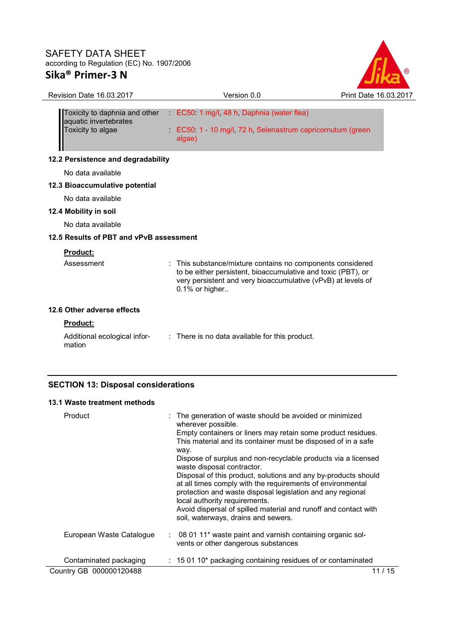

| <b>Revision Date 16.03.2017</b>                                             | Version 0.0                                                                                                                                                                                                  | Print Date 16.03.2017 |
|-----------------------------------------------------------------------------|--------------------------------------------------------------------------------------------------------------------------------------------------------------------------------------------------------------|-----------------------|
| Toxicity to daphnia and other<br>aquatic invertebrates<br>Toxicity to algae | EC50 1 mg/l, 48 h, Daphnia (water flea)<br>EC50 1 - 10 mg/l, 72 h, Selenastrum capricornutum (green<br>algae)                                                                                                |                       |
| 12.2 Persistence and degradability                                          |                                                                                                                                                                                                              |                       |
| No data available                                                           |                                                                                                                                                                                                              |                       |
| 12.3 Bioaccumulative potential                                              |                                                                                                                                                                                                              |                       |
| No data available                                                           |                                                                                                                                                                                                              |                       |
| 12.4 Mobility in soil                                                       |                                                                                                                                                                                                              |                       |
| No data available                                                           |                                                                                                                                                                                                              |                       |
| 12.5 Results of PBT and vPvB assessment                                     |                                                                                                                                                                                                              |                       |
| <b>Product:</b>                                                             |                                                                                                                                                                                                              |                       |
| Assessment                                                                  | : This substance/mixture contains no components considered<br>to be either persistent, bioaccumulative and toxic (PBT), or<br>very persistent and very bioaccumulative (vPvB) at levels of<br>0.1% or higher |                       |
| 12.6 Other adverse effects                                                  |                                                                                                                                                                                                              |                       |
| <b>Product:</b>                                                             |                                                                                                                                                                                                              |                       |
| Additional ecological infor-<br>mation                                      | : There is no data available for this product.                                                                                                                                                               |                       |

## **SECTION 13: Disposal considerations**

## **13.1 Waste treatment methods**

| Product                  | : The generation of waste should be avoided or minimized<br>wherever possible.<br>Empty containers or liners may retain some product residues.<br>This material and its container must be disposed of in a safe<br>way.<br>Dispose of surplus and non-recyclable products via a licensed<br>waste disposal contractor.<br>Disposal of this product, solutions and any by-products should<br>at all times comply with the requirements of environmental<br>protection and waste disposal legislation and any regional<br>local authority requirements.<br>Avoid dispersal of spilled material and runoff and contact with<br>soil, waterways, drains and sewers. |
|--------------------------|-----------------------------------------------------------------------------------------------------------------------------------------------------------------------------------------------------------------------------------------------------------------------------------------------------------------------------------------------------------------------------------------------------------------------------------------------------------------------------------------------------------------------------------------------------------------------------------------------------------------------------------------------------------------|
| European Waste Catalogue | $\therefore$ 08 01 11* waste paint and varnish containing organic sol-<br>vents or other dangerous substances                                                                                                                                                                                                                                                                                                                                                                                                                                                                                                                                                   |
| Contaminated packaging   | $: 150110*$ packaging containing residues of or contaminated                                                                                                                                                                                                                                                                                                                                                                                                                                                                                                                                                                                                    |
| Country GB 000000120488  | / 15                                                                                                                                                                                                                                                                                                                                                                                                                                                                                                                                                                                                                                                            |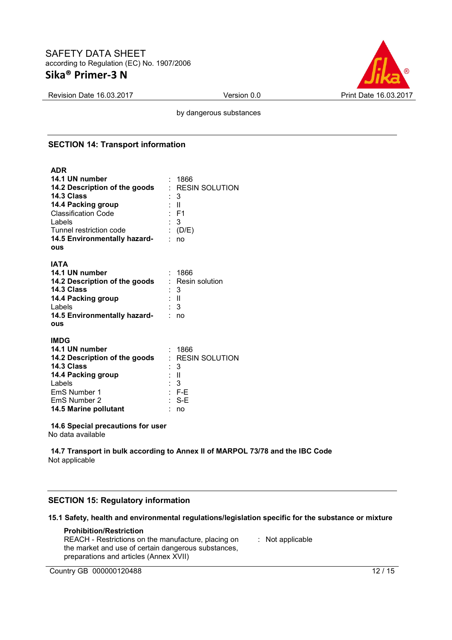

Revision Date 16.03.2017 Version 0.0 Print Date 16.03.2017

by dangerous substances

## **SECTION 14: Transport information**

# **ADR**

| 14.1 UN number<br>14.2 Description of the goods<br>14.3 Class<br>14.4 Packing group<br><b>Classification Code</b><br>Labels<br>Tunnel restriction code<br>14.5 Environmentally hazard-<br>ous | - 1866<br>$:$ RESIN SOLUTION<br>- 3<br>: II<br>: F1<br>- 3<br>: $(D/E)$<br>no |
|-----------------------------------------------------------------------------------------------------------------------------------------------------------------------------------------------|-------------------------------------------------------------------------------|
| IATA<br>14.1 UN number<br>14.2 Description of the goods<br>14.3 Class<br>14.4 Packing group<br>Labels<br>14.5 Environmentally hazard-<br>ous                                                  | - 1866<br>: Resin solution<br>3<br>: II<br>$\therefore$ 3<br>no               |
| <b>IMDG</b><br>14.1 UN number<br>14.2 Description of the goods<br>14.3 Class<br>14.4 Packing group<br>Labels<br>EmS Number 1<br>EmS Number 2<br>14.5 Marine pollutant                         | - 1866<br>: RESIN SOLUTION<br>: 3<br>- 11<br>: 3<br>$:$ F-E<br>S-E<br>no      |

#### **14.6 Special precautions for user**

No data available

**14.7 Transport in bulk according to Annex II of MARPOL 73/78 and the IBC Code** Not applicable

## **SECTION 15: Regulatory information**

## **15.1 Safety, health and environmental regulations/legislation specific for the substance or mixture**

## **Prohibition/Restriction**

| REACH - Restrictions on the manufacture, placing on | $\therefore$ Not applicable |
|-----------------------------------------------------|-----------------------------|
| the market and use of certain dangerous substances, |                             |
| preparations and articles (Annex XVII)              |                             |

Country GB 000000120488 12 / 15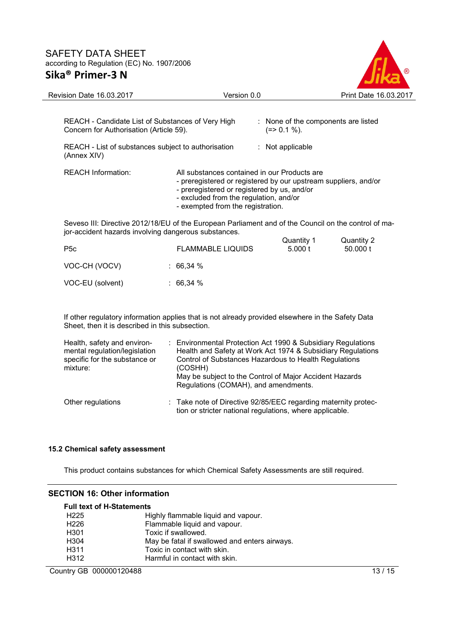

| <b>Revision Date 16.03.2017</b>                                                                                                                                    | Version 0.0                                                                                                                                                                                                                                   |                                                                           | Print Date 16.03.2017  |
|--------------------------------------------------------------------------------------------------------------------------------------------------------------------|-----------------------------------------------------------------------------------------------------------------------------------------------------------------------------------------------------------------------------------------------|---------------------------------------------------------------------------|------------------------|
| REACH - Candidate List of Substances of Very High<br>Concern for Authorisation (Article 59).<br>REACH - List of substances subject to authorisation<br>(Annex XIV) |                                                                                                                                                                                                                                               | : None of the components are listed<br>$(=>0.1\%).$<br>$:$ Not applicable |                        |
| <b>REACH Information:</b>                                                                                                                                          | All substances contained in our Products are<br>- preregistered or registered by our upstream suppliers, and/or<br>- preregistered or registered by us, and/or<br>- excluded from the regulation, and/or<br>- exempted from the registration. |                                                                           |                        |
| jor-accident hazards involving dangerous substances.                                                                                                               | Seveso III: Directive 2012/18/EU of the European Parliament and of the Council on the control of ma-                                                                                                                                          |                                                                           |                        |
| P <sub>5</sub> c                                                                                                                                                   | <b>FLAMMABLE LIQUIDS</b>                                                                                                                                                                                                                      | Quantity 1<br>5.000 t                                                     | Quantity 2<br>50,000 t |
|                                                                                                                                                                    |                                                                                                                                                                                                                                               |                                                                           |                        |

| VOC-CH (VOCV)    | : 66,34 $%$ |
|------------------|-------------|
| VOC-EU (solvent) | : 66,34 $%$ |

If other regulatory information applies that is not already provided elsewhere in the Safety Data Sheet, then it is described in this subsection.

| Health, safety and environ-<br>mental regulation/legislation<br>specific for the substance or<br>mixture: | : Environmental Protection Act 1990 & Subsidiary Regulations<br>Health and Safety at Work Act 1974 & Subsidiary Regulations<br>Control of Substances Hazardous to Health Regulations<br>(COSHH)<br>May be subject to the Control of Major Accident Hazards<br>Regulations (COMAH), and amendments. |
|-----------------------------------------------------------------------------------------------------------|----------------------------------------------------------------------------------------------------------------------------------------------------------------------------------------------------------------------------------------------------------------------------------------------------|
| Other regulations                                                                                         | : Take note of Directive 92/85/EEC regarding maternity protec-<br>tion or stricter national regulations, where applicable.                                                                                                                                                                         |

## **15.2 Chemical safety assessment**

This product contains substances for which Chemical Safety Assessments are still required.

## **SECTION 16: Other information**

| <b>Full text of H-Statements</b> |                                               |
|----------------------------------|-----------------------------------------------|
| H <sub>225</sub>                 | Highly flammable liquid and vapour.           |
| H <sub>226</sub>                 | Flammable liquid and vapour.                  |
| H <sub>301</sub>                 | Toxic if swallowed.                           |
| H <sub>304</sub>                 | May be fatal if swallowed and enters airways. |
| H <sub>3</sub> 11                | Toxic in contact with skin.                   |
| H312                             | Harmful in contact with skin.                 |

Country GB 000000120488 13 / 15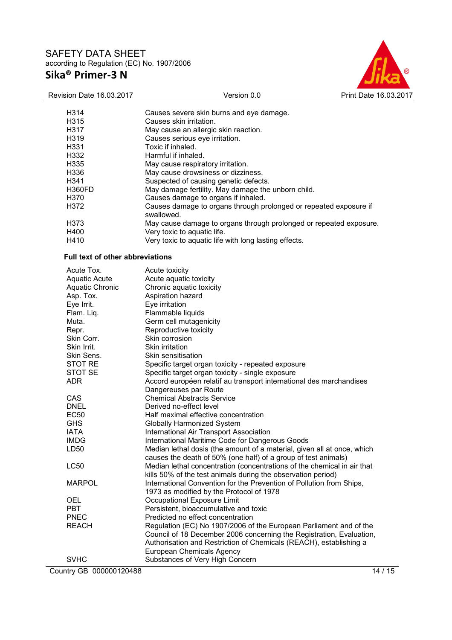

| H314                                    | Causes severe skin burns and eye damage.                                                                                                  |
|-----------------------------------------|-------------------------------------------------------------------------------------------------------------------------------------------|
| H315                                    | Causes skin irritation.                                                                                                                   |
| H317                                    | May cause an allergic skin reaction.                                                                                                      |
| H319                                    | Causes serious eye irritation.                                                                                                            |
| H331                                    | Toxic if inhaled.                                                                                                                         |
| H332                                    | Harmful if inhaled.                                                                                                                       |
| H335                                    | May cause respiratory irritation.                                                                                                         |
| H336                                    | May cause drowsiness or dizziness.                                                                                                        |
| H341                                    | Suspected of causing genetic defects.                                                                                                     |
| <b>H360FD</b>                           | May damage fertility. May damage the unborn child.                                                                                        |
| H370                                    | Causes damage to organs if inhaled.                                                                                                       |
| H372                                    | Causes damage to organs through prolonged or repeated exposure if<br>swallowed.                                                           |
| H373                                    | May cause damage to organs through prolonged or repeated exposure.                                                                        |
| H400                                    | Very toxic to aquatic life.                                                                                                               |
| H410                                    | Very toxic to aquatic life with long lasting effects.                                                                                     |
|                                         |                                                                                                                                           |
| <b>Full text of other abbreviations</b> |                                                                                                                                           |
| Acute Tox.                              | Acute toxicity                                                                                                                            |
| <b>Aquatic Acute</b>                    | Acute aquatic toxicity                                                                                                                    |
| <b>Aquatic Chronic</b>                  | Chronic aquatic toxicity                                                                                                                  |
| Asp. Tox.                               | Aspiration hazard                                                                                                                         |
| Eye Irrit.                              | Eye irritation                                                                                                                            |
| Flam. Liq.                              | Flammable liquids                                                                                                                         |
| Muta.                                   | Germ cell mutagenicity                                                                                                                    |
| Repr.                                   | Reproductive toxicity                                                                                                                     |
| Skin Corr.                              | Skin corrosion                                                                                                                            |
| Skin Irrit.                             | Skin irritation                                                                                                                           |
| Skin Sens.                              | Skin sensitisation                                                                                                                        |
| STOT RE                                 | Specific target organ toxicity - repeated exposure                                                                                        |
| <b>STOT SE</b>                          | Specific target organ toxicity - single exposure                                                                                          |
| <b>ADR</b>                              | Accord européen relatif au transport international des marchandises                                                                       |
|                                         | Dangereuses par Route                                                                                                                     |
| CAS                                     | <b>Chemical Abstracts Service</b>                                                                                                         |
| <b>DNEL</b>                             | Derived no-effect level                                                                                                                   |
| <b>EC50</b>                             | Half maximal effective concentration                                                                                                      |
| <b>GHS</b>                              | Globally Harmonized System                                                                                                                |
| <b>IATA</b>                             | International Air Transport Association                                                                                                   |
| <b>IMDG</b>                             | International Maritime Code for Dangerous Goods                                                                                           |
| LD50                                    | Median lethal dosis (the amount of a material, given all at once, which                                                                   |
| LC50                                    | causes the death of 50% (one half) of a group of test animals)<br>Median lethal concentration (concentrations of the chemical in air that |
|                                         | kills 50% of the test animals during the observation period)                                                                              |
| <b>MARPOL</b>                           | International Convention for the Prevention of Pollution from Ships,                                                                      |
|                                         | 1973 as modified by the Protocol of 1978                                                                                                  |
| OEL                                     | Occupational Exposure Limit                                                                                                               |
| <b>PBT</b>                              | Persistent, bioaccumulative and toxic                                                                                                     |
| <b>PNEC</b>                             | Predicted no effect concentration                                                                                                         |
| <b>REACH</b>                            | Regulation (EC) No 1907/2006 of the European Parliament and of the                                                                        |
|                                         | Council of 18 December 2006 concerning the Registration, Evaluation,                                                                      |
|                                         | Authorisation and Restriction of Chemicals (REACH), establishing a                                                                        |
|                                         | European Chemicals Agency                                                                                                                 |
| <b>SVHC</b>                             | Substances of Very High Concern                                                                                                           |
| Country GB 000000120488                 | 14/15                                                                                                                                     |